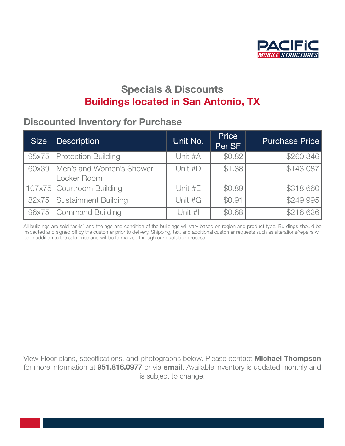

## Specials & Discounts **Buildings located in San Antonio, TX**

#### Discounted Inventory for Purchase<br> the turbulent economic conditions that our companies have faced in the recent years.

| <b>Size</b> | <b>Description</b>                      | Unit No.  | <b>Price</b><br>Per SF | <b>Purchase Price</b> |
|-------------|-----------------------------------------|-----------|------------------------|-----------------------|
| 95x75       | <b>Protection Building</b>              | Unit #A   | \$0.82                 | \$260,346             |
| 60x39       | Men's and Women's Shower<br>Locker Room | Unit $#D$ | \$1.38                 | \$143,087             |
|             | 107x75 Courtroom Building               | Unit #E   | \$0.89                 | \$318,660             |
| 82x75       | <b>Sustainment Building</b>             | Unit #G   | \$0.91                 | \$249,995             |
| 96x75       | Command Building                        | Unit #I   | \$0.68                 | \$216,626             |

All buildings are sold "as-is" and the age and condition of the buildings will vary based on region and product type. Buildings should be inspected and signed off by the customer prior to delivery. Shipping, tax, and additional customer requests such as alterations/repairs will be in addition to the sale price and will be formalized through our quotation process.

View Floor plans, specifications, and photographs below. Please contact Michael Thompson From Frost plans, opedineering, and protegraphs below. Freede corridot **interior incripoon** for more information at **[951.816.0977](tel:9518160977)** or via **[email](mailto:michael.thompson@pacificmobile.com)**. Available inventory is updated monthly and is subject to change. President/CEO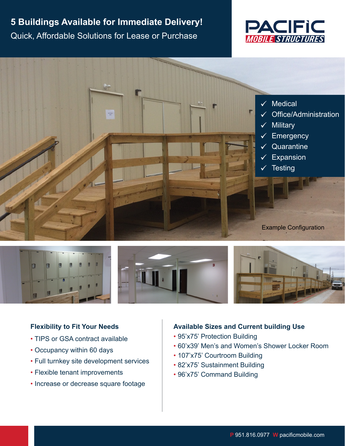# **5 Buildings Available for Immediate Delivery!**  Quick, Affordable Solutions for Lease or Purchase







### **Flexibility to Fit Your Needs**

- TIPS or GSA contract available
- Occupancy within 60 days
- Full turnkey site development services
- Flexible tenant improvements
- Increase or decrease square footage

### **Available Sizes and Current building Use**

- [95'x75' Protection Building](https://pacificmobile.com/wp-content/uploads/2022/01/95x75-Protection-Building.pdf)
- [60'x39' Men's and Women's Shower Locker Room](https://pacificmobile.com/wp-content/uploads/2022/01/60%E2%80%98x39-Latrine-Building.pdf)
- [107'x75' Courtroom Building](https://pacificmobile.com/wp-content/uploads/2022/01/107x75-Courtroom-Building.pdf)
- • [82'x75' Sustainment Building](https://pacificmobile.com/wp-content/uploads/2022/01/82x75-Sustainment-Building.pdf)
- [96'x75' Command Building](https://pacificmobile.com/wp-content/uploads/2022/01/96x75-Command-Building.pdf)